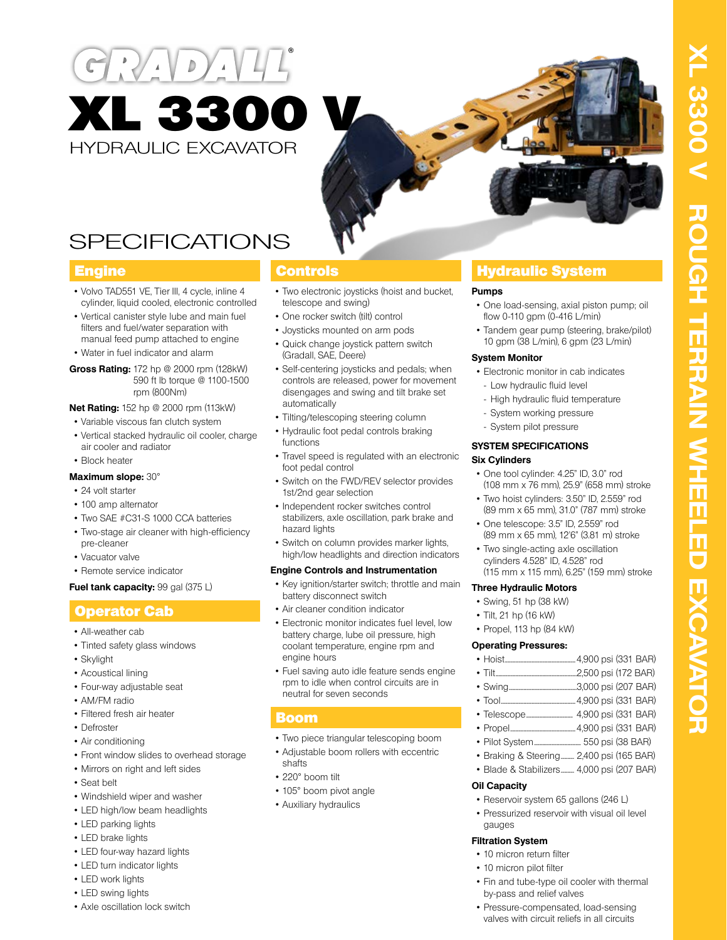



# SPECIFICATIONS

- Volvo TAD551 VE, Tier III, 4 cycle, inline 4 cylinder, liquid cooled, electronic controlled
- Vertical canister style lube and main fuel filters and fuel/water separation with manual feed pump attached to engine
- Water in fuel indicator and alarm

### **Gross Rating:** 172 hp @ 2000 rpm (128kW) 590 ft lb torque @ 1100-1500 rpm (800Nm)

# **Net Rating:** 152 hp @ 2000 rpm (113kW)

- Variable viscous fan clutch system
- Vertical stacked hydraulic oil cooler, charge air cooler and radiator
- Block heater

# **Maximum slope:** 30°

- 24 volt starter
- 100 amp alternator
- Two SAE #C31-S 1000 CCA batteries
- Two-stage air cleaner with high-efficiency pre-cleaner
- Vacuator valve
- Remote service indicator

# **Fuel tank capacity: 99 gal (375 L)**

# Operator Cab

- All-weather cab
- Tinted safety glass windows
- Skylight
- Acoustical lining
- Four-way adjustable seat
- AM/FM radio
- Filtered fresh air heater
- Defroster
- Air conditioning
- Front window slides to overhead storage
- Mirrors on right and left sides
- Seat belt
- Windshield wiper and washer
- LED high/low beam headlights
- LED parking lights
- LED brake lights
- LED four-way hazard lights
- LED turn indicator lights
- LED work lights
- LED swing lights
- Axle oscillation lock switch

- Two electronic joysticks (hoist and bucket, telescope and swing)
- One rocker switch (tilt) control
- Joysticks mounted on arm pods
- Quick change joystick pattern switch (Gradall, SAE, Deere)
- Self-centering joysticks and pedals; when controls are released, power for movement disengages and swing and tilt brake set automatically
- Tilting/telescoping steering column
- Hydraulic foot pedal controls braking functions
- Travel speed is regulated with an electronic foot pedal control
- Switch on the FWD/REV selector provides 1st/2nd gear selection
- Independent rocker switches control stabilizers, axle oscillation, park brake and hazard lights
- Switch on column provides marker lights, high/low headlights and direction indicators

# **Engine Controls and Instrumentation**

- Key ignition/starter switch; throttle and main battery disconnect switch
- Air cleaner condition indicator
- Electronic monitor indicates fuel level, low battery charge, lube oil pressure, high coolant temperature, engine rpm and engine hours
- Fuel saving auto idle feature sends engine rpm to idle when control circuits are in neutral for seven seconds

# Boom

- Two piece triangular telescoping boom
- Adjustable boom rollers with eccentric shafts
- 220° boom tilt
- 105° boom pivot angle
- Auxiliary hydraulics

# **Engine Controls Controls Hydraulic System**

# **Pumps**

- One load-sensing, axial piston pump; oil flow 0-110 gpm (0-416 L/min)
- Tandem gear pump (steering, brake/pilot) 10 gpm (38 L/min), 6 gpm (23 L/min)

# **System Monitor**

- Electronic monitor in cab indicates - Low hydraulic fluid level
- High hydraulic fluid temperature
- System working pressure
- System pilot pressure

# **SYSTEM SPECIFICATIONS**

# **Six Cylinders**

- One tool cylinder: 4.25" ID, 3.0" rod (108 mm x 76 mm), 25.9" (658 mm) stroke
- Two hoist cylinders: 3.50" ID, 2.559" rod (89 mm x 65 mm), 31.0" (787 mm) stroke
- One telescope: 3.5" ID, 2.559" rod (89 mm x 65 mm), 12'6" (3.81 m) stroke
- Two single-acting axle oscillation cylinders 4.528" ID, 4.528" rod (115 mm x 115 mm), 6.25" (159 mm) stroke

# **Three Hydraulic Motors**

- Swing, 51 hp (38 kW)
- Tilt, 21 hp (16 kW)
- Propel, 113 hp (84 kW)

# **Operating Pressures:**

- Hoist.....................................................4,900 psi (331 BAR)
- Tilt.............................................................2,500 psi (172 BAR)
- Swing...................................................3,000 psi (207 BAR)
- Tool........................................................4,900 psi (331 BAR)
- Telescope................................... 4,900 psi (331 BAR)
- Propel.................................................4,900 psi (331 BAR)
- Pilot System................................... 550 psi (38 BAR)
- Braking & Steering.......... 2,400 psi (165 BAR) • Blade & Stabilizers.......... 4,000 psi (207 BAR)

# **Oil Capacity**

- Reservoir system 65 gallons (246 L)
- Pressurized reservoir with visual oil level gauges

• Fin and tube-type oil cooler with thermal

• Pressure-compensated, load-sensing valves with circuit reliefs in all circuits

# **Filtration System**

- 10 micron return filter
- 10 micron pilot filter

by-pass and relief valves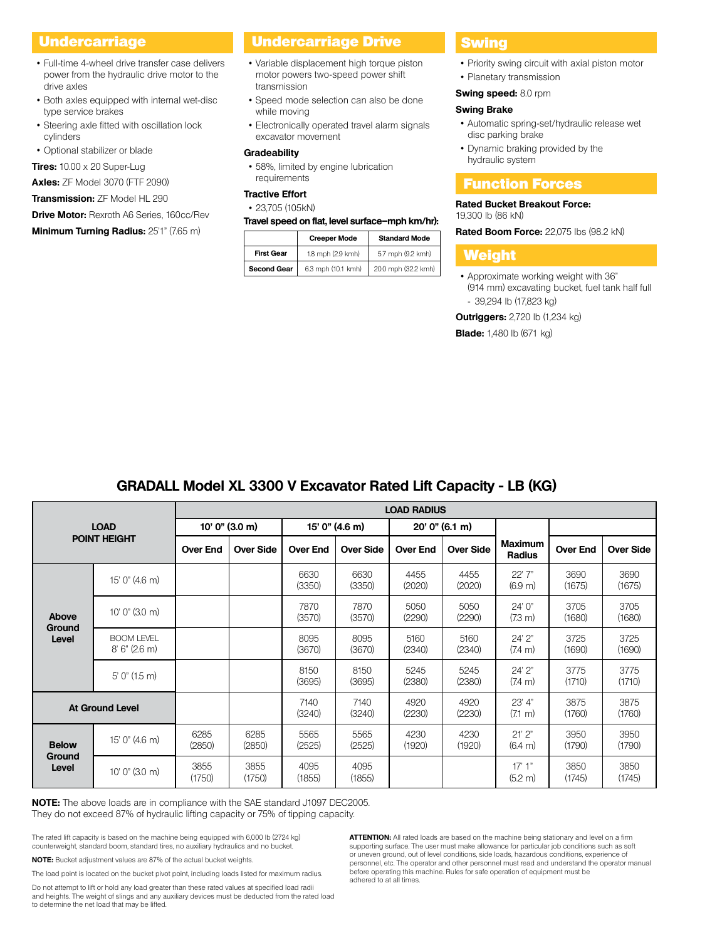- Full-time 4-wheel drive transfer case delivers power from the hydraulic drive motor to the drive axles
- Both axles equipped with internal wet-disc type service brakes
- Steering axle fitted with oscillation lock cylinders
- Optional stabilizer or blade

**Tires:** 10.00 x 20 Super-Lug

**Axles:** ZF Model 3070 (FTF 2090)

**Transmission:** ZF Model HL 290

**Drive Motor:** Rexroth A6 Series, 160cc/Rev

**Minimum Turning Radius:** 25'1" (7.65 m)

# Undercarriage **Drive Drive Basse** Undercarriage Drive <mark>Swing</mark>

- Variable displacement high torque piston motor powers two-speed power shift transmission
- Speed mode selection can also be done while moving
- Electronically operated travel alarm signals excavator movement

### **Gradeability**

• 58%, limited by engine lubrication requirements

# **Tractive Effort**

# • 23,705 (105kN)

### **Travel speed on flat, level surface–mph km/hr):**

|                    | <b>Creeper Mode</b> | <b>Standard Mode</b> |  |  |
|--------------------|---------------------|----------------------|--|--|
| <b>First Gear</b>  | 1.8 mph (2.9 kmh)   | 5.7 mph (9.2 kmh)    |  |  |
| <b>Second Gear</b> | 6.3 mph (10.1 kmh)  | 20.0 mph (32.2 kmh)  |  |  |

- Priority swing circuit with axial piston motor
- Planetary transmission

# **Swing speed:** 8.0 rpm

# **Swing Brake**

- Automatic spring-set/hydraulic release wet disc parking brake
- Dynamic braking provided by the hydraulic system

# Function Forces

# **Rated Bucket Breakout Force:**

19,300 lb (86 kN)

**Rated Boom Force:** 22,075 lbs (98.2 kN)

# Weight

• Approximate working weight with 36" (914 mm) excavating bucket, fuel tank half full - 39,294 lb (17,823 kg)

**Outriggers:** 2,720 lb (1,234 kg)

**Blade:** 1,480 lb (671 kg)

# **GRADALL Model XL 3300 V Excavator Rated Lift Capacity - LB (KG)**

| <b>LOAD</b><br><b>POINT HEIGHT</b> |                                      | <b>LOAD RADIUS</b> |                  |                 |                  |                 |                  |                                 |                 |                  |
|------------------------------------|--------------------------------------|--------------------|------------------|-----------------|------------------|-----------------|------------------|---------------------------------|-----------------|------------------|
|                                    |                                      | $10'$ 0" (3.0 m)   |                  | 15' 0" (4.6 m)  |                  | 20' 0'' (6.1 m) |                  |                                 |                 |                  |
|                                    |                                      | <b>Over End</b>    | <b>Over Side</b> | <b>Over End</b> | <b>Over Side</b> | <b>Over End</b> | <b>Over Side</b> | <b>Maximum</b><br><b>Radius</b> | <b>Over End</b> | <b>Over Side</b> |
| Above<br>Ground<br>Level           | $15'$ 0" (4.6 m)                     |                    |                  | 6630<br>(3350)  | 6630<br>(3350)   | 4455<br>(2020)  | 4455<br>(2020)   | 22' 7"<br>(6.9 <sub>m</sub> )   | 3690<br>(1675)  | 3690<br>(1675)   |
|                                    | $10'$ 0" $(3.0 \text{ m})$           |                    |                  | 7870<br>(3570)  | 7870<br>(3570)   | 5050<br>(2290)  | 5050<br>(2290)   | 24' 0"<br>$(7.3 \text{ m})$     | 3705<br>(1680)  | 3705<br>(1680)   |
|                                    | <b>BOOM LEVEL</b><br>$8'$ 6" (2.6 m) |                    |                  | 8095<br>(3670)  | 8095<br>(3670)   | 5160<br>(2340)  | 5160<br>(2340)   | 24'2"<br>$(7.4 \text{ m})$      | 3725<br>(1690)  | 3725<br>(1690)   |
|                                    | $5'$ 0" (1.5 m)                      |                    |                  | 8150<br>(3695)  | 8150<br>(3695)   | 5245<br>(2380)  | 5245<br>(2380)   | 24' 2"<br>$(7.4 \text{ m})$     | 3775<br>(1710)  | 3775<br>(1710)   |
| <b>At Ground Level</b>             |                                      |                    |                  | 7140<br>(3240)  | 7140<br>(3240)   | 4920<br>(2230)  | 4920<br>(2230)   | 23' 4"<br>$(7.1 \text{ m})$     | 3875<br>(1760)  | 3875<br>(1760)   |
| <b>Below</b><br>Ground<br>Level    | 15' 0" (4.6 m)                       | 6285<br>(2850)     | 6285<br>(2850)   | 5565<br>(2525)  | 5565<br>(2525)   | 4230<br>(1920)  | 4230<br>(1920)   | 21'2"<br>$(6.4 \text{ m})$      | 3950<br>(1790)  | 3950<br>(1790)   |
|                                    | $10'$ $0''$ $(3.0 \text{ m})$        | 3855<br>(1750)     | 3855<br>(1750)   | 4095<br>(1855)  | 4095<br>(1855)   |                 |                  | 17'1''<br>(5.2 m)               | 3850<br>(1745)  | 3850<br>(1745)   |

**NOTE:** The above loads are in compliance with the SAE standard J1097 DEC2005. They do not exceed 87% of hydraulic lifting capacity or 75% of tipping capacity.

The rated lift capacity is based on the machine being equipped with 6,000 lb (2724 kg) counterweight, standard boom, standard tires, no auxiliary hydraulics and no bucket.

**NOTE:** Bucket adjustment values are 87% of the actual bucket weights.

The load point is located on the bucket pivot point, including loads listed for maximum radius.

Do not attempt to lift or hold any load greater than these rated values at specified load radii and heights. The weight of slings and any auxiliary devices must be deducted from the rated load to determine the net load that may be lifted.

**ATTENTION:** All rated loads are based on the machine being stationary and level on a firm supporting surface. The user must make allowance for particular job conditions such as soft or uneven ground, out of level conditions, side loads, hazardous conditions, experience of personnel, etc. The operator and other personnel must read and understand the operator manual before operating this machine. Rules for safe operation of equipment must be adhered to at all times.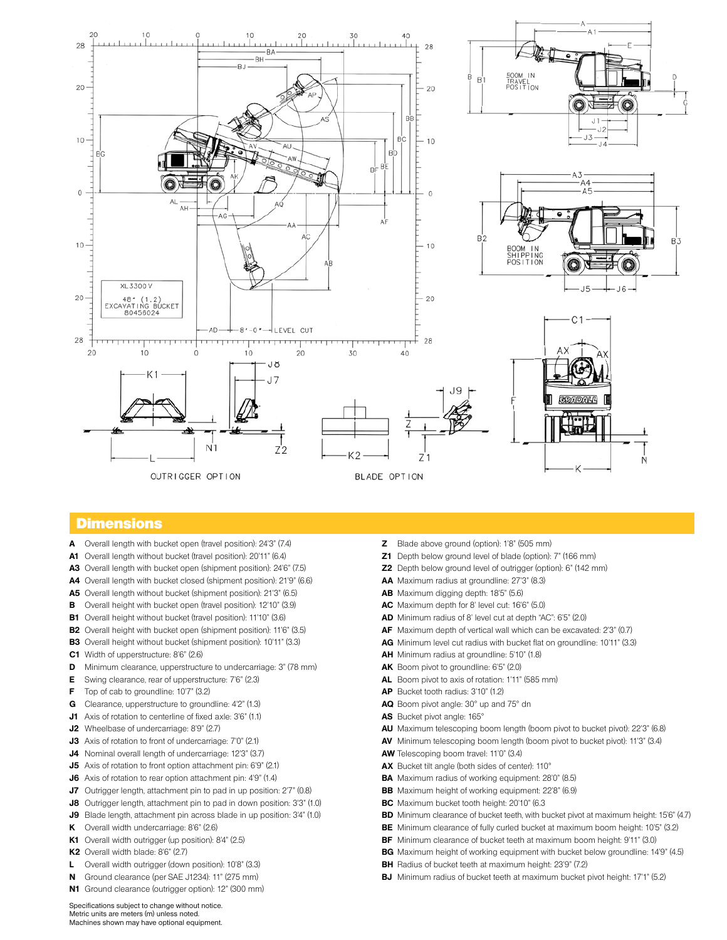

# **Dimensions**

- **A** Overall length with bucket open (travel position): 24'3" (7.4)
- **A1** Overall length without bucket (travel position): 20'11" (6.4)
- **A3** Overall length with bucket open (shipment position): 24'6" (7.5)
- **A4** Overall length with bucket closed (shipment position): 21'9" (6.6)
- **A5** Overall length without bucket (shipment position): 21'3" (6.5)
- **B** Overall height with bucket open (travel position): 12'10" (3.9)
- **B1** Overall height without bucket (travel position): 11'10" (3.6)
- **B2** Overall height with bucket open (shipment position): 11'6" (3.5)
- **B3** Overall height without bucket (shipment position): 10'11" (3.3)
- **C1** Width of upperstructure: 8'6" (2.6)
- **D** Minimum clearance, upperstructure to undercarriage: 3" (78 mm)
- **E** Swing clearance, rear of upperstructure: 7'6" (2.3)
- **F** Top of cab to groundline: 10'7" (3.2)
- **G** Clearance, upperstructure to groundline: 4'2" (1.3)
- **J1** Axis of rotation to centerline of fixed axle: 3'6" (1.1)
- **J2** Wheelbase of undercarriage: 8'9" (2.7)
- **J3** Axis of rotation to front of undercarriage: 7'0" (2.1)
- **J4** Nominal overall length of undercarriage: 12'3" (3.7)
- **J5** Axis of rotation to front option attachment pin: 6'9" (2.1)
- **J6** Axis of rotation to rear option attachment pin: 4'9" (1.4)
- **J7** Outrigger length, attachment pin to pad in up position: 2'7" (0.8)
- **J8** Outrigger length, attachment pin to pad in down position: 3'3" (1.0)
- **J9** Blade length, attachment pin across blade in up position: 3'4" (1.0)
- **K** Overall width undercarriage: 8'6" (2.6)
- **K1** Overall width outrigger (up position): 8'4" (2.5)
- **K2** Overall width blade: 8'6" (2.7)
- **L** Overall width outrigger (down position): 10'8" (3.3)
- **N** Ground clearance (per SAE J1234): 11" (275 mm)
- **N1** Ground clearance (outrigger option): 12" (300 mm)
- **Z** Blade above ground (option): 1'8" (505 mm)
- **Z1** Depth below ground level of blade (option): 7" (166 mm)
- **Z2** Depth below ground level of outrigger (option): 6" (142 mm)
- **AA** Maximum radius at groundline: 27'3" (8.3)
- **AB** Maximum digging depth: 18'5" (5.6)
- **AC** Maximum depth for 8' level cut: 16'6" (5.0)
- **AD** Minimum radius of 8' level cut at depth "AC": 6'5" (2.0)
- **AF** Maximum depth of vertical wall which can be excavated: 2'3" (0.7)
- **AG** Minimum level cut radius with bucket flat on groundline: 10'11" (3.3)
- **AH** Minimum radius at groundline: 5'10" (1.8)
- **AK** Boom pivot to groundline: 6'5" (2.0)
- **AL** Boom pivot to axis of rotation: 1'11" (585 mm)
- **AP** Bucket tooth radius: 3'10" (1.2)
- **AQ** Boom pivot angle: 30° up and 75° dn
- **AS** Bucket pivot angle: 165°
- **AU** Maximum telescoping boom length (boom pivot to bucket pivot): 22'3" (6.8)
- **AV** Minimum telescoping boom length (boom pivot to bucket pivot): 11'3" (3.4)
- **AW** Telescoping boom travel: 11'0" (3.4)
- **AX** Bucket tilt angle (both sides of center): 110°
- **BA** Maximum radius of working equipment: 28'0" (8.5)
- **BB** Maximum height of working equipment: 22'8" (6.9)
- **BC** Maximum bucket tooth height: 20'10" (6.3
- **BD** Minimum clearance of bucket teeth, with bucket pivot at maximum height: 15'6" (4.7)
- **BE** Minimum clearance of fully curled bucket at maximum boom height: 10'5" (3.2)
- **BF** Minimum clearance of bucket teeth at maximum boom height: 9'11" (3.0)
- **BG** Maximum height of working equipment with bucket below groundline: 14'9" (4.5)
- **BH** Radius of bucket teeth at maximum height: 23'9" (7.2)
- **BJ** Minimum radius of bucket teeth at maximum bucket pivot height: 17'1" (5.2)

Specifications subject to change without notice. Metric units are meters (m) unless noted. Machines shown may have optional equipment.